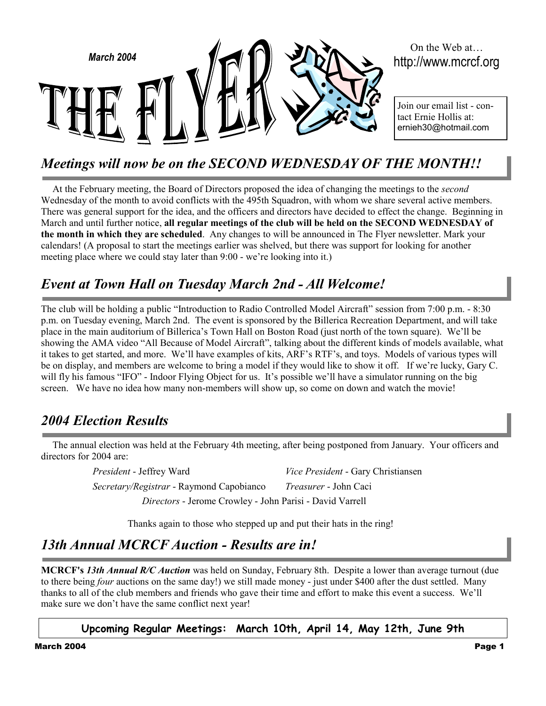

# On the Web at

Join our email list - contact Ernie Hollis at: ernieh30@hotmail.com

# *Meetings will now be on the SECOND WEDNESDAY OF THE MONTH!!*

At the February meeting, the Board of Directors proposed the idea of changing the meetings to the *second* Wednesday of the month to avoid conflicts with the 495th Squadron, with whom we share several active members. There was general support for the idea, and the officers and directors have decided to effect the change. Beginning in March and until further notice, **all regular meetings of the club will be held on the SECOND WEDNESDAY of the month in which they are scheduled**. Any changes to will be announced in The Flyer newsletter. Mark your calendars! (A proposal to start the meetings earlier was shelved, but there was support for looking for another meeting place where we could stay later than 9:00 - we're looking into it.)

## *Event at Town Hall on Tuesday March 2nd - All Welcome!*

The club will be holding a public "Introduction to Radio Controlled Model Aircraft" session from 7:00 p.m. - 8:30 p.m. on Tuesday evening, March 2nd. The event is sponsored by the Billerica Recreation Department, and will take place in the main auditorium of Billerica's Town Hall on Boston Road (just north of the town square). We'll be showing the AMA video "All Because of Model Aircraft", talking about the different kinds of models available, what it takes to get started, and more. We'll have examples of kits, ARF's RTF's, and toys. Models of various types will be on display, and members are welcome to bring a model if they would like to show it off. If we're lucky, Gary C. will fly his famous "IFO" - Indoor Flying Object for us. It's possible we'll have a simulator running on the big screen. We have no idea how many non-members will show up, so come on down and watch the movie!

### *2004 Election Results*

The annual election was held at the February 4th meeting, after being postponed from January. Your officers and directors for 2004 are:

> *President* - Jeffrey Ward *Vice President* - Gary Christiansen *Secretary/Registrar* - Raymond Capobianco *Treasurer* - John Caci *Directors* - Jerome Crowley - John Parisi - David Varrell

> > Thanks again to those who stepped up and put their hats in the ring!

## *13th Annual MCRCF Auction - Results are in!*

**MCRCF's** *13th Annual R/C Auction* was held on Sunday, February 8th. Despite a lower than average turnout (due to there being *four* auctions on the same day!) we still made money - just under \$400 after the dust settled. Many thanks to all of the club members and friends who gave their time and effort to make this event a success. We'll make sure we don't have the same conflict next year!

#### **Upcoming Regular Meetings: March 10th, April 14, May 12th, June 9th**